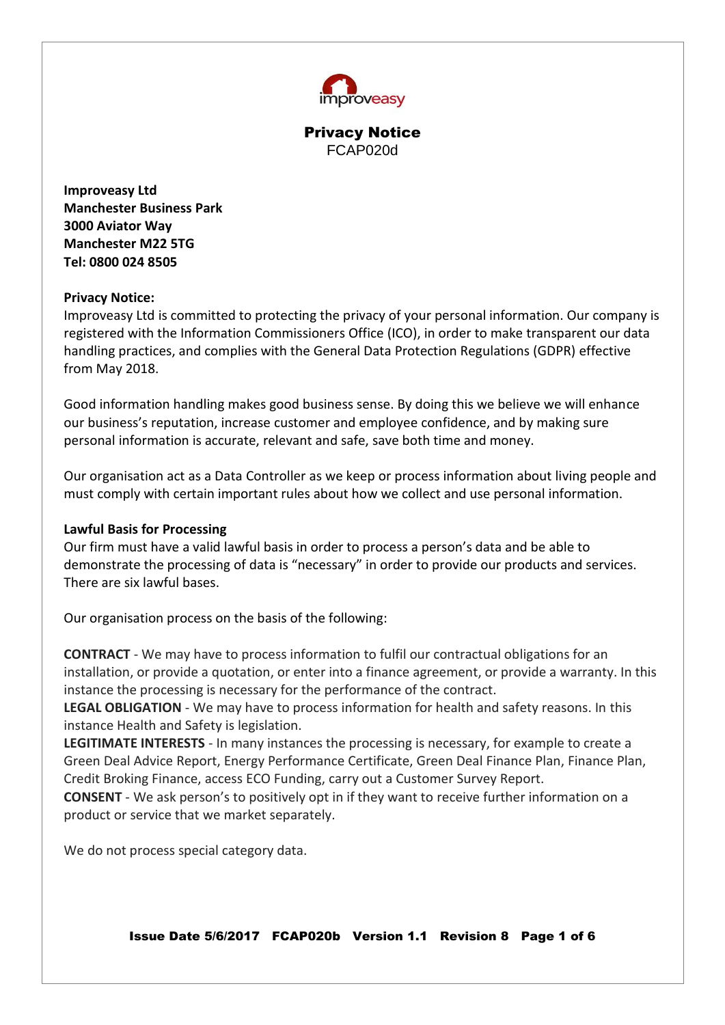

**Improveasy Ltd Manchester Business Park 3000 Aviator Way Manchester M22 5TG Tel: 0800 024 8505**

### **Privacy Notice:**

Improveasy Ltd is committed to protecting the privacy of your personal information. Our company is registered with the Information Commissioners Office (ICO), in order to make transparent our data handling practices, and complies with the General Data Protection Regulations (GDPR) effective from May 2018.

Good information handling makes good business sense. By doing this we believe we will enhance our business's reputation, increase customer and employee confidence, and by making sure personal information is accurate, relevant and safe, save both time and money.

Our organisation act as a Data Controller as we keep or process information about living people and must comply with certain important rules about how we collect and use personal information.

## **Lawful Basis for Processing**

Our firm must have a valid lawful basis in order to process a person's data and be able to demonstrate the processing of data is "necessary" in order to provide our products and services. There are six lawful bases.

Our organisation process on the basis of the following:

**CONTRACT** - We may have to process information to fulfil our contractual obligations for an installation, or provide a quotation, or enter into a finance agreement, or provide a warranty. In this instance the processing is necessary for the performance of the contract.

**LEGAL OBLIGATION** - We may have to process information for health and safety reasons. In this instance Health and Safety is legislation.

**LEGITIMATE INTERESTS** - In many instances the processing is necessary, for example to create a Green Deal Advice Report, Energy Performance Certificate, Green Deal Finance Plan, Finance Plan, Credit Broking Finance, access ECO Funding, carry out a Customer Survey Report.

**CONSENT** - We ask person's to positively opt in if they want to receive further information on a product or service that we market separately.

We do not process special category data.

Issue Date 5/6/2017 FCAP020b Version 1.1 Revision 8 Page 1 of 6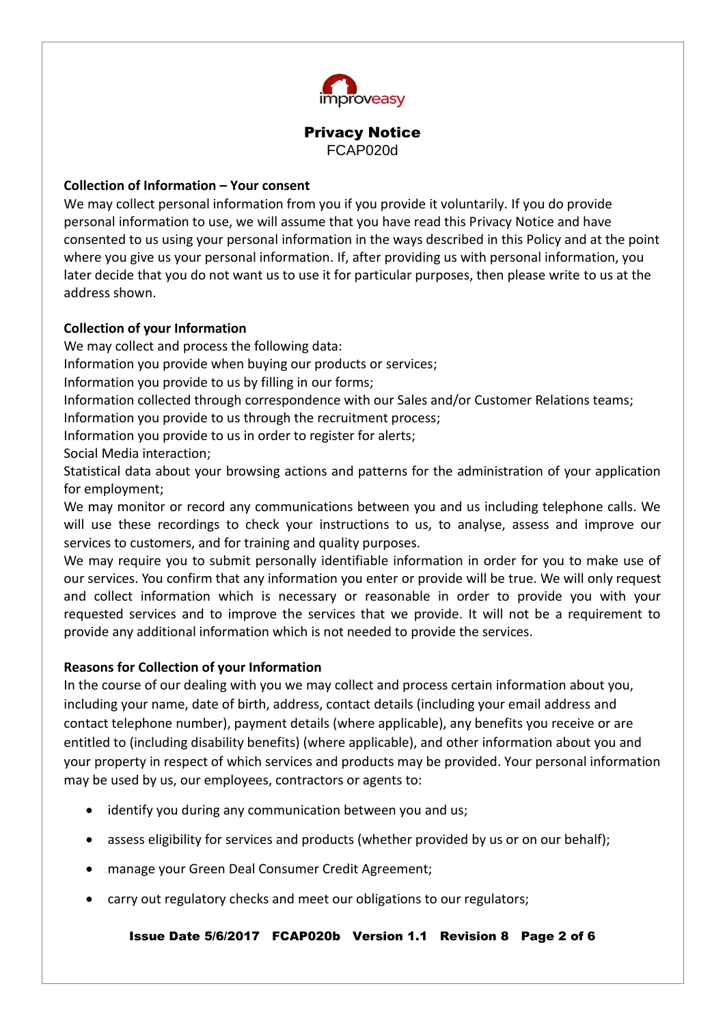

## **Collection of Information – Your consent**

We may collect personal information from you if you provide it voluntarily. If you do provide personal information to use, we will assume that you have read this Privacy Notice and have consented to us using your personal information in the ways described in this Policy and at the point where you give us your personal information. If, after providing us with personal information, you later decide that you do not want us to use it for particular purposes, then please write to us at the address shown.

# **Collection of your Information**

We may collect and process the following data:

Information you provide when buying our products or services;

Information you provide to us by filling in our forms;

Information collected through correspondence with our Sales and/or Customer Relations teams;

Information you provide to us through the recruitment process;

Information you provide to us in order to register for alerts;

Social Media interaction;

Statistical data about your browsing actions and patterns for the administration of your application for employment;

We may monitor or record any communications between you and us including telephone calls. We will use these recordings to check your instructions to us, to analyse, assess and improve our services to customers, and for training and quality purposes.

We may require you to submit personally identifiable information in order for you to make use of our services. You confirm that any information you enter or provide will be true. We will only request and collect information which is necessary or reasonable in order to provide you with your requested services and to improve the services that we provide. It will not be a requirement to provide any additional information which is not needed to provide the services.

## **Reasons for Collection of your Information**

In the course of our dealing with you we may collect and process certain information about you, including your name, date of birth, address, contact details (including your email address and contact telephone number), payment details (where applicable), any benefits you receive or are entitled to (including disability benefits) (where applicable), and other information about you and your property in respect of which services and products may be provided. Your personal information may be used by us, our employees, contractors or agents to:

- identify you during any communication between you and us;
- assess eligibility for services and products (whether provided by us or on our behalf);
- manage your Green Deal Consumer Credit Agreement;
- carry out regulatory checks and meet our obligations to our regulators;

Issue Date 5/6/2017 FCAP020b Version 1.1 Revision 8 Page 2 of 6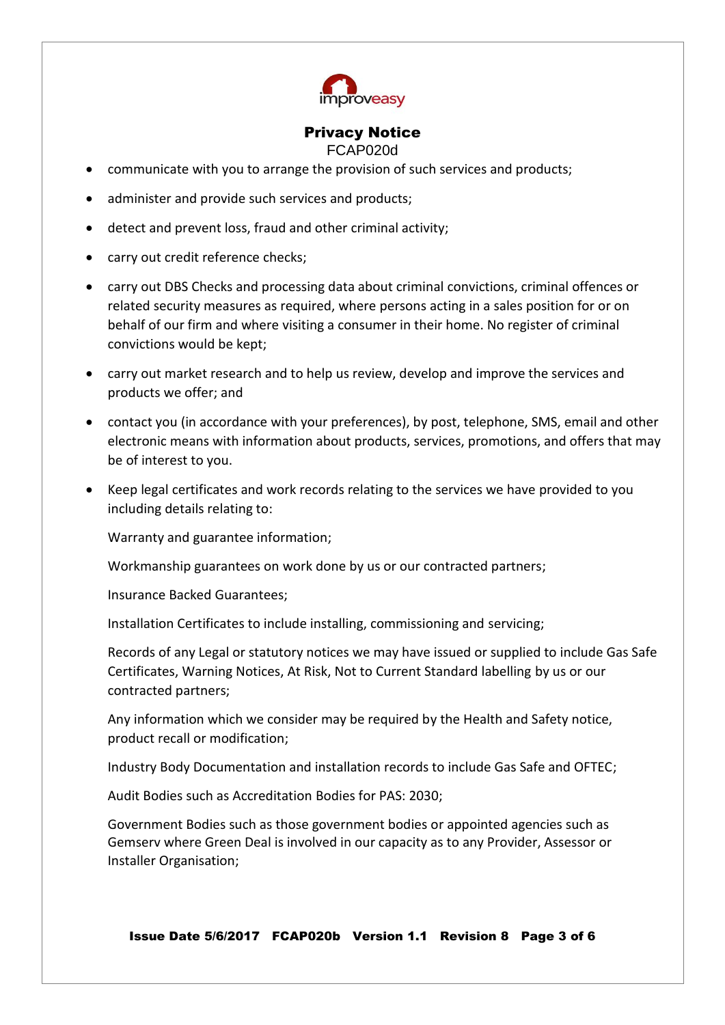

### Privacy Notice

FCAP020d

- communicate with you to arrange the provision of such services and products;
- administer and provide such services and products;
- detect and prevent loss, fraud and other criminal activity;
- carry out credit reference checks;
- carry out DBS Checks and processing data about criminal convictions, criminal offences or related security measures as required, where persons acting in a sales position for or on behalf of our firm and where visiting a consumer in their home. No register of criminal convictions would be kept;
- carry out market research and to help us review, develop and improve the services and products we offer; and
- contact you (in accordance with your preferences), by post, telephone, SMS, email and other electronic means with information about products, services, promotions, and offers that may be of interest to you.
- Keep legal certificates and work records relating to the services we have provided to you including details relating to:

Warranty and guarantee information;

Workmanship guarantees on work done by us or our contracted partners;

Insurance Backed Guarantees;

Installation Certificates to include installing, commissioning and servicing;

Records of any Legal or statutory notices we may have issued or supplied to include Gas Safe Certificates, Warning Notices, At Risk, Not to Current Standard labelling by us or our contracted partners;

Any information which we consider may be required by the Health and Safety notice, product recall or modification;

Industry Body Documentation and installation records to include Gas Safe and OFTEC;

Audit Bodies such as Accreditation Bodies for PAS: 2030;

Government Bodies such as those government bodies or appointed agencies such as Gemserv where Green Deal is involved in our capacity as to any Provider, Assessor or Installer Organisation;

Issue Date 5/6/2017 FCAP020b Version 1.1 Revision 8 Page 3 of 6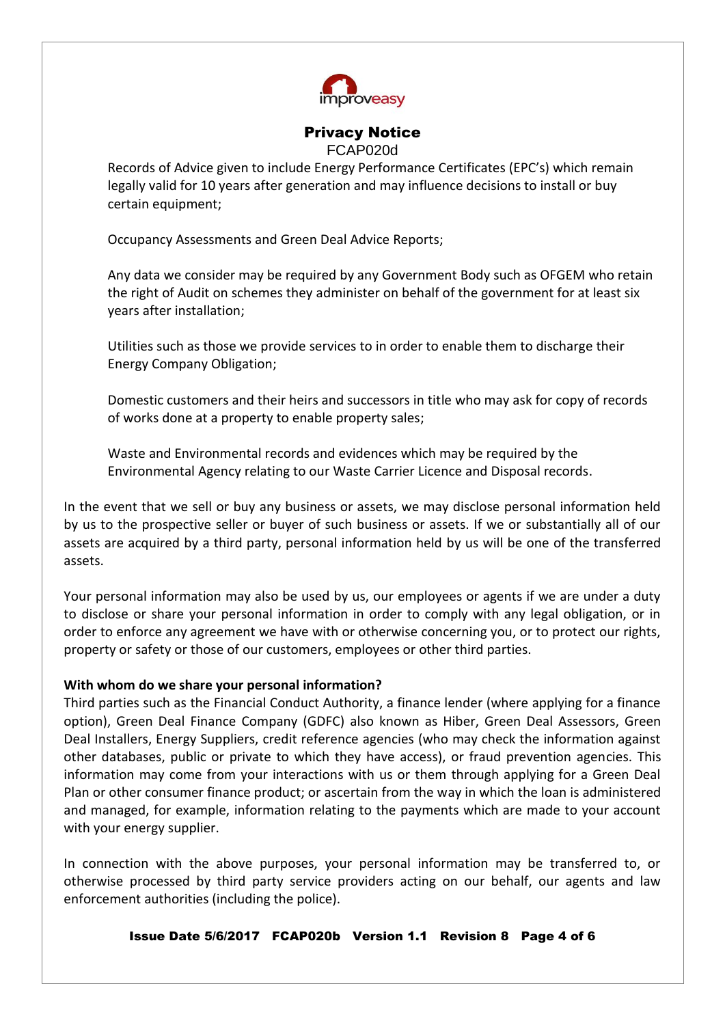

## Privacy Notice

FCAP020d

Records of Advice given to include Energy Performance Certificates (EPC's) which remain legally valid for 10 years after generation and may influence decisions to install or buy certain equipment;

Occupancy Assessments and Green Deal Advice Reports;

Any data we consider may be required by any Government Body such as OFGEM who retain the right of Audit on schemes they administer on behalf of the government for at least six years after installation;

Utilities such as those we provide services to in order to enable them to discharge their Energy Company Obligation;

Domestic customers and their heirs and successors in title who may ask for copy of records of works done at a property to enable property sales;

Waste and Environmental records and evidences which may be required by the Environmental Agency relating to our Waste Carrier Licence and Disposal records.

In the event that we sell or buy any business or assets, we may disclose personal information held by us to the prospective seller or buyer of such business or assets. If we or substantially all of our assets are acquired by a third party, personal information held by us will be one of the transferred assets.

Your personal information may also be used by us, our employees or agents if we are under a duty to disclose or share your personal information in order to comply with any legal obligation, or in order to enforce any agreement we have with or otherwise concerning you, or to protect our rights, property or safety or those of our customers, employees or other third parties.

## **With whom do we share your personal information?**

Third parties such as the Financial Conduct Authority, a finance lender (where applying for a finance option), Green Deal Finance Company (GDFC) also known as Hiber, Green Deal Assessors, Green Deal Installers, Energy Suppliers, credit reference agencies (who may check the information against other databases, public or private to which they have access), or fraud prevention agencies. This information may come from your interactions with us or them through applying for a Green Deal Plan or other consumer finance product; or ascertain from the way in which the loan is administered and managed, for example, information relating to the payments which are made to your account with your energy supplier.

In connection with the above purposes, your personal information may be transferred to, or otherwise processed by third party service providers acting on our behalf, our agents and law enforcement authorities (including the police).

Issue Date 5/6/2017 FCAP020b Version 1.1 Revision 8 Page 4 of 6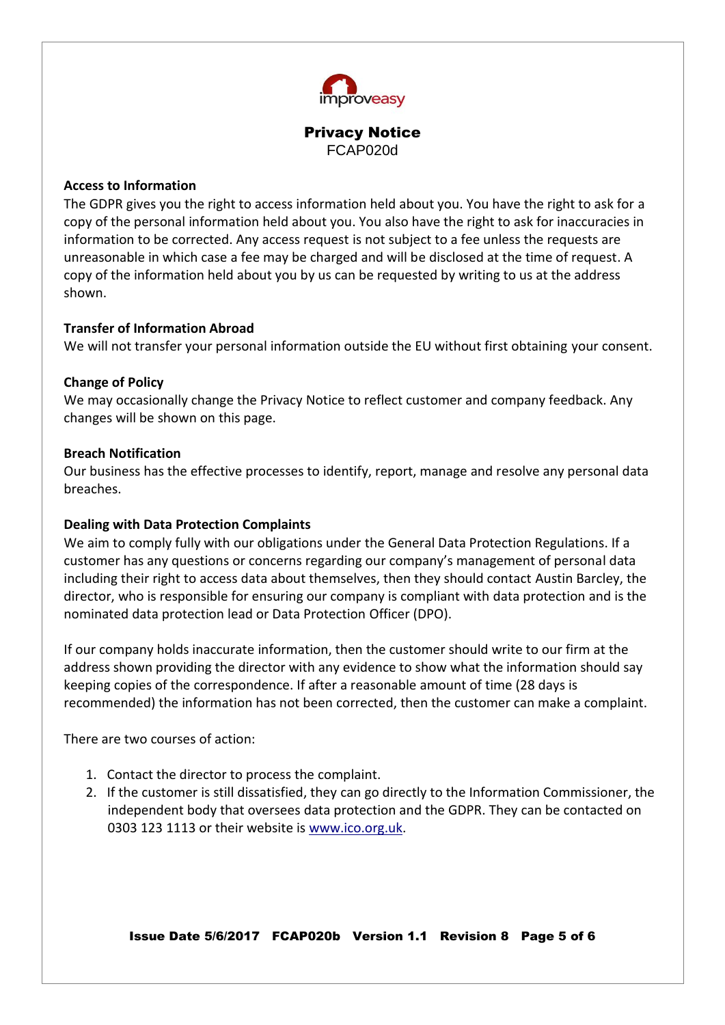

#### **Access to Information**

The GDPR gives you the right to access information held about you. You have the right to ask for a copy of the personal information held about you. You also have the right to ask for inaccuracies in information to be corrected. Any access request is not subject to a fee unless the requests are unreasonable in which case a fee may be charged and will be disclosed at the time of request. A copy of the information held about you by us can be requested by writing to us at the address shown.

### **Transfer of Information Abroad**

We will not transfer your personal information outside the EU without first obtaining your consent.

### **Change of Policy**

We may occasionally change the Privacy Notice to reflect customer and company feedback. Any changes will be shown on this page.

### **Breach Notification**

Our business has the effective processes to identify, report, manage and resolve any personal data breaches.

## **Dealing with Data Protection Complaints**

We aim to comply fully with our obligations under the General Data Protection Regulations. If a customer has any questions or concerns regarding our company's management of personal data including their right to access data about themselves, then they should contact Austin Barcley, the director, who is responsible for ensuring our company is compliant with data protection and is the nominated data protection lead or Data Protection Officer (DPO).

If our company holds inaccurate information, then the customer should write to our firm at the address shown providing the director with any evidence to show what the information should say keeping copies of the correspondence. If after a reasonable amount of time (28 days is recommended) the information has not been corrected, then the customer can make a complaint.

There are two courses of action:

- 1. Contact the director to process the complaint.
- 2. If the customer is still dissatisfied, they can go directly to the Information Commissioner, the independent body that oversees data protection and the GDPR. They can be contacted on 0303 123 1113 or their website is [www.ico.org.uk.](http://www.ico.org.uk/)

Issue Date 5/6/2017 FCAP020b Version 1.1 Revision 8 Page 5 of 6